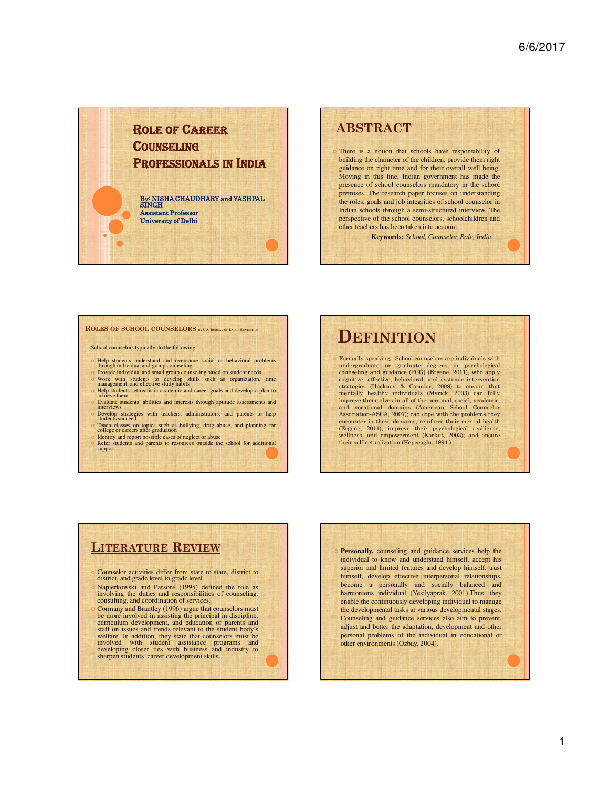

## **ABSTRACT**

 There is a notion that schools have responsibility of building the character of the children, provide them right guidance on right time and for their overall well being. Moving in this line, Indian government has made the presence of school counselors mandatory in the school premises. The research paper focuses on understanding the roles, goals and job integrities of school counselor in Indian schools through a semi-structured interview. The perspective of the school counselors, schoolchildren and other teachers has been taken into account.

**Keywords:** *School, Counselor, Role, India*

#### **ROLES OF SCHOOL COUNSELORS BY U.S. BUREAU OF <sup>L</sup>ABOR <sup>S</sup>TATISTICS**

School counselors typically do the following:

- Help students understand and overcome social or behavioral problems<br>
 through individual and group counseling<br>
 Provide individual and small group counseling based on student needs<br>
 Work with students to develop skil
- 
- Help students set realistic academic and career goals and develop a plan to achieve them achieve them<br>
Evaluate students' abilities and interests through aptitude assessments and<br>
interviews
- Develop strategies with teachers, administrators, and parents to help students succeed
- Teach classes on topics such as bullying, drug abuse, and planning for college or careers after graduation Identify and report possible cases of neglect or abuse
- Refer students and parents to resources outside the school for additional support

## **DEFINITION**

 Formally speaking, School counselors are individuals with undergraduate or graduate degrees in psychological counseling and guidance (PCG) (Ergene, 2011), who apply cognitive, affective, behavioral, and systemic intervention strategies (Hackney & Cormier, 2008) to ensure that mentally healthy individuals (Myrick, 2003) can fully improve themselves in all of the personal, social, academic, and vocational domains (American School Counselor Association-ASCA, 2007); can cope with the problems they encounter in these domains; reinforce their mental health (Ergene, 2011); improve their psychological resilience, wellness, and empowerment (Korkut, 2003); and ensure their self-actualization (Kepceoglu, 1994 )

### **LITERATURE REVIEW**

 Counselor activities differ from state to state, district to district, and grade level to grade level.

- Napierkowski and Parsons (1995) defined the role as involving the duties and responsibilities of counseling, consulting, and coordination of services.
- Cormany and Brantley (1996) argue that counselors must be more involved in assisting the principal in discipline, curriculum development, and education of parents and staff on issues and trends relevant to the student body's welfare. In addition, they state that counselors must be involved with student assistance programs and developing closer ties with business and industry to sharpen students' career development skills.

 **Personally,** counseling and guidance services help the individual to know and understand himself, accept his superior and limited features and develop himself, trust himself, develop effective interpersonal relationships, become a personally and socially balanced and harmonious individual (Yesilyaprak, 2001).Thus, they enable the continuously developing individual to manage the developmental tasks at various developmental stages. Counseling and guidance services also aim to prevent, adjust and better the adaptation, development and other personal problems of the individual in educational or other environments (Ozbay, 2004).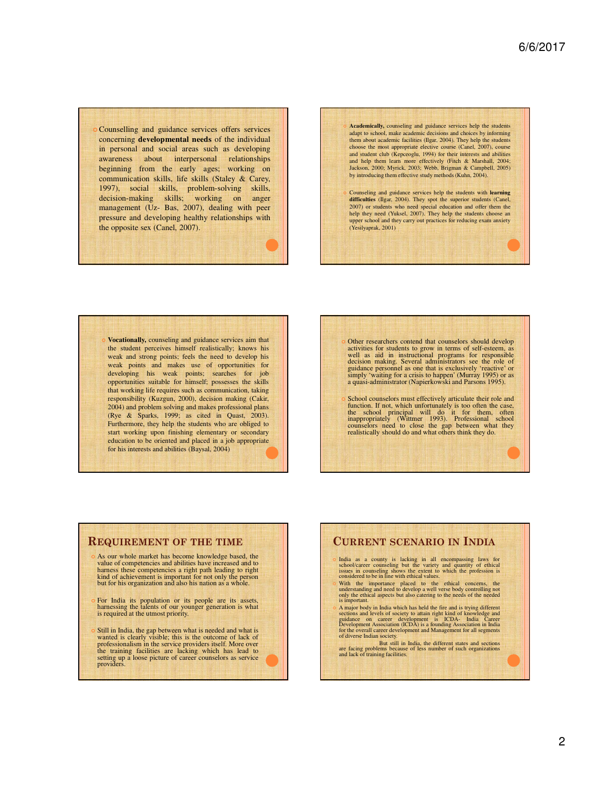Counselling and guidance services offers services concerning **developmental needs** of the individual in personal and social areas such as developing awareness about interpersonal relationships beginning from the early ages; working on communication skills, life skills (Staley & Carey, 1997), social skills, problem-solving skills, decision-making skills; working on anger management (Uz- Bas, 2007), dealing with peer pressure and developing healthy relationships with the opposite sex (Canel, 2007).

 **Academically,** counseling and guidance services help the students adapt to school, make academic decisions and choices by informing them about academic facilities (Ilgar, 2004). They help the students choose the most appropriate elective course (Canel, 2007), course and student club (Kepceoglu, 1994) for their interests and abilities and help them learn more effectively (Fitch & Marshall, 2004; Jackson, 2000; Myrick, 2003; Webb, Brigman & Campbell, 2005) by introducing them effective study methods (Kuhn, 2004).

 Counseling and guidance services help the students with **learning difficulties** (Ilgar, 2004). They spot the superior students (Canel, 2007) or students who need special education and offer them the help they need (Yuksel, 2007). They help the students choose an upper school and they carry out practices for reducing exam anxiety (Yesilyaprak, 2001)

 **Vocationally,** counseling and guidance services aim that the student perceives himself realistically; knows his weak and strong points; feels the need to develop his weak points and makes use of opportunities for developing his weak points; searches for job opportunities suitable for himself; possesses the skills that working life requires such as communication, taking responsibility (Kuzgun, 2000), decision making (Cakir, 2004) and problem solving and makes professional plans (Rye & Sparks, 1999; as cited in Quast, 2003). Furthermore, they help the students who are obliged to start working upon finishing elementary or secondary education to be oriented and placed in a job appropriate for his interests and abilities (Baysal, 2004)

 Other researchers contend that counselors should develop activities for students to grow in terms of self-esteem, as well as aid in instructional programs for responsible decision making. Several administrators see the role of guidance personnel as one that is exclusively 'reactive' or simply 'waiting for a crisis to happen' (Murray 1995) or as a quasi-administrator (Napierkowski and Parsons 1995).

 School counselors must effectively articulate their role and function. If not, which unfortunately is too often the case,<br>the school principal will do it for them, often<br>inappropriately (Wittmer 1993). Professional school<br>counselors need to close the gap between what they<br>realistica

#### **REQUIREMENT OF THE TIME**

 As our whole market has become knowledge based, the value of competencies and abilities have increased and to harness these competencies a right path leading to right kind of achievement is important for not only the person but for his organization and also his nation as a whole.

 For India its population or its people are its assets, harnessing the talents of our younger generation is what is required at the utmost priority.

 Still in India, the gap between what is needed and what is wanted is clearly visible; this is the outcome of lack of professionalism in the service providers itself. More over the training facilities are lacking which has lead to setting up a loose picture of career counselors as service providers.



• India as a county is lacking in all encompassing laws for school/career counseling but the variety and quantity of ethical issues in counseling shows the extent to which the profession is considered to be in line with et

With the importance placed to the ethical concerns, the understanding and need to develop a well verse body controlling not only the ethical aspects but also catering to the needs of the needed is important.

• A major body in India which has held the fire and is trying different scations and levels of society to attain right kind of knowledge and evaluation (ICDA) is a founding Association in India for the overall career devel

But still in India, the different states and sections are facing problems because of less number of such organizations and lack of training facilities.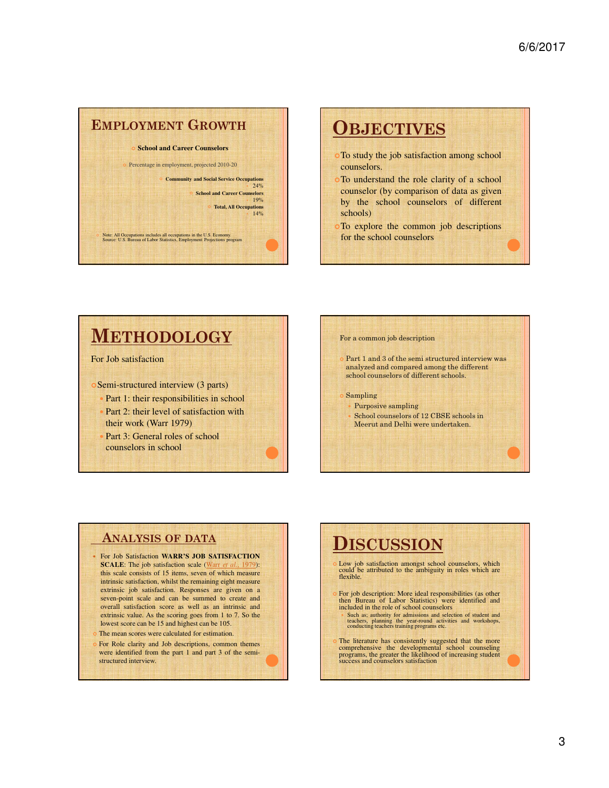### **EMPLOYMENT GROWTH School and Career Counselors** Percentage in employment, projected 2010-20 **Community and Social Service Occupations**  $24%$  **School and Career Counselors** • 19% **Total, All Occupation**  $14%$

Note: All Occupations includes all occupations in the U.S. Economy. Source: U.S. Bureau of Labor Statistics, Employment Projections program

# **OBJECTIVES**

- To study the job satisfaction among school counselors.
- To understand the role clarity of a school counselor (by comparison of data as given by the school counselors of different schools)
- To explore the common job descriptions for the school counselors

# **METHODOLOGY**

For Job satisfaction

Semi-structured interview (3 parts)

 Part 1: their responsibilities in school Part 2: their level of satisfaction with their work (Warr 1979) Part 3: General roles of school counselors in school

#### For a common job description

 Part 1 and 3 of the semi structured interview was analyzed and compared among the different school counselors of different schools.

#### Sampling

Purposive sampling

 School counselors of 12 CBSE schools in Meerut and Delhi were undertaken.

## **ANALYSIS OF DATA**

- For Job Satisfaction **WARR'S JOB SATISFACTION SCALE**: The job satisfaction scale (Warr *et al.* this scale consists of 15 items, seven of which measure intrinsic satisfaction, whilst the remaining eight measure extrinsic job satisfaction. Responses are given on a seven-point scale and can be summed to create and overall satisfaction score as well as an intrinsic and extrinsic value. As the scoring goes from 1 to 7. So the lowest score can be 15 and highest can be 105. The mean scores were calculated for estimation.
- For Role clarity and Job descriptions, common themes were identified from the part 1 and part 3 of the semistructured interview.

# **DISCUSSION**

 Low job satisfaction amongst school counselors, which could be attributed to the ambiguity in roles which are flexible.

- For job description: More ideal responsibilities (as other then Bureau of Labor Statistics) were identified and included in the role of school counselors
- Such as; authority for admissions and selection of student and teachers, planning the year-round activities and workshops, conducting teachers training programs etc.
- The literature has consistently suggested that the more comprehensive the developmental school counseling programs, the greater the likelihood of increasing student success and counselors satisfaction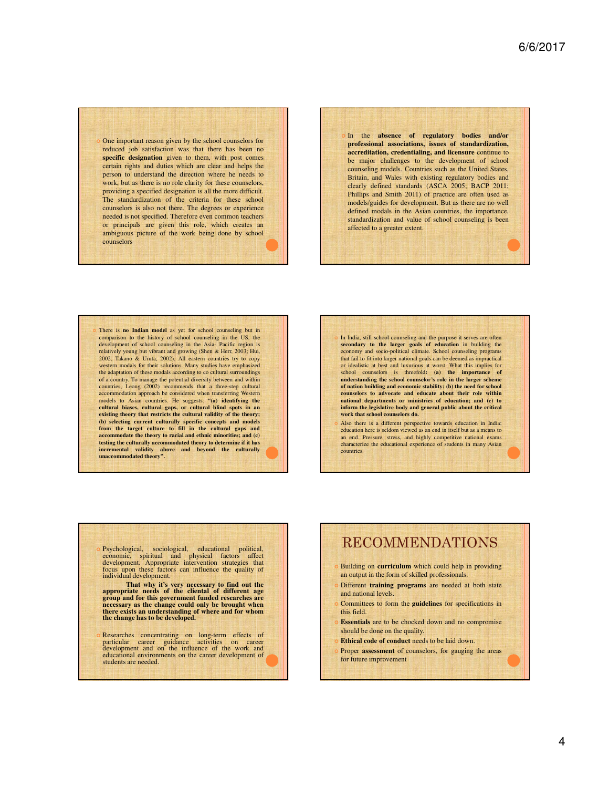One important reason given by the school counselors for reduced job satisfaction was that there has been no **specific designation** given to them, with post comes certain rights and duties which are clear and helps the person to understand the direction where he needs to work, but as there is no role clarity for these counselors, providing a specified designation is all the more difficult. The standardization of the criteria for these school counselors is also not there. The degrees or experience needed is not specified. Therefore even common teachers or principals are given this role, which creates an ambiguous picture of the work being done by school counselors

 In the **absence of regulatory bodies and/or professional associations, issues of standardization, accreditation, credentialing, and licensure** continue to be major challenges to the development of school counseling models. Countries such as the United States, Britain, and Wales with existing regulatory bodies and clearly defined standards (ASCA 2005; BACP 2011; Phillips and Smith 2011) of practice are often used as models/guides for development. But as there are no well defined modals in the Asian countries, the importance, standardization and value of school counseling is been affected to a greater extent.

 There is **no Indian model** as yet for school counseling but in comparison to the history of school counseling in the US, the development of school counseling in the Asia- Pacific region is relatively young but vibrant and growing (Shen & Herr, 2003; Hui, 2002; Takano & Uruta; 2002). All eastern countries try to copy western modals for their solutions. Many studies have emphasized the adaptation of these modals according to co cultural surroundings of a country. To manage the potential diversity between and within countries, Leong (2002) recommends that a three-step cultural accommodation approach be considered when transferring models to Asian countries. He suggests: **"(a) identifying the cultural biases, cultural gaps, or cultural blind spots in an existing theory that restricts the cultural validity of the theory; (b) selecting current culturally specific concepts and models from the target culture to fill in the cultural gaps and accommodate the theory to racial and ethnic minorities; and (c) testing the culturally accommodated theory to determine if it has incremental validity above and beyond the culturally unaccommodated theory".**



education here is seldom viewed as an end in itself but as a means to an end. Pressure, stress, and highly competitive national exams characterize the educational experience of students in many Asian countries.

 Psychological, sociological, educational political, economic, spiritual and physical factors affect development. Appropriate intervention strategies that focus upon these factors can influence the quality of individual development.

**That why it's very necessary to find out the appropriate needs of the cliental of different age group and for this government funded researches are necessary as the change could only be brought when there exists an understanding of where and for whom the change has to be developed.**

 Researches concentrating on long-term effects of particular career guidance activities on career development and on the influence of the work and educational environments on the career development of students are needed.

## RECOMMENDATIONS

- Building on **curriculum** which could help in providing an output in the form of skilled professionals.
- Different **training programs** are needed at both state and national levels.
- Committees to form the **guidelines** for specifications in this field.
- **Essentials** are to be chocked down and no compromise should be done on the quality.
- **Ethical code of conduct** needs to be laid down.
- Proper **assessment** of counselors, for gauging the areas for future improvement